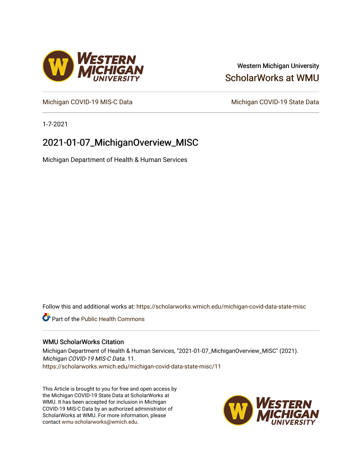# Western Michigan University [ScholarWorks at WMU](https://scholarworks.wmich.edu/)

[Michigan COVID-19 MIS-C Data](https://scholarworks.wmich.edu/michigan-covid-data-state-misc) Michigan COVID-19 State Data

1-7-2021

# 2021-01-07\_MichiganOverview\_MISC

Michigan Department of Health & Human Services

Follow this and additional works at: [https://scholarworks.wmich.edu/michigan-covid-data-state-misc](https://scholarworks.wmich.edu/michigan-covid-data-state-misc?utm_source=scholarworks.wmich.edu%2Fmichigan-covid-data-state-misc%2F11&utm_medium=PDF&utm_campaign=PDFCoverPages) 

**Part of the Public Health Commons** 

## WMU ScholarWorks Citation

Michigan Department of Health & Human Services, "2021-01-07\_MichiganOverview\_MISC" (2021). Michigan COVID-19 MIS-C Data. 11. [https://scholarworks.wmich.edu/michigan-covid-data-state-misc/11](https://scholarworks.wmich.edu/michigan-covid-data-state-misc/11?utm_source=scholarworks.wmich.edu%2Fmichigan-covid-data-state-misc%2F11&utm_medium=PDF&utm_campaign=PDFCoverPages)

This Article is brought to you for free and open access by the Michigan COVID-19 State Data at ScholarWorks at WMU. It has been accepted for inclusion in Michigan COVID-19 MIS-C Data by an authorized administrator of ScholarWorks at WMU. For more information, please contact [wmu-scholarworks@wmich.edu](mailto:wmu-scholarworks@wmich.edu).